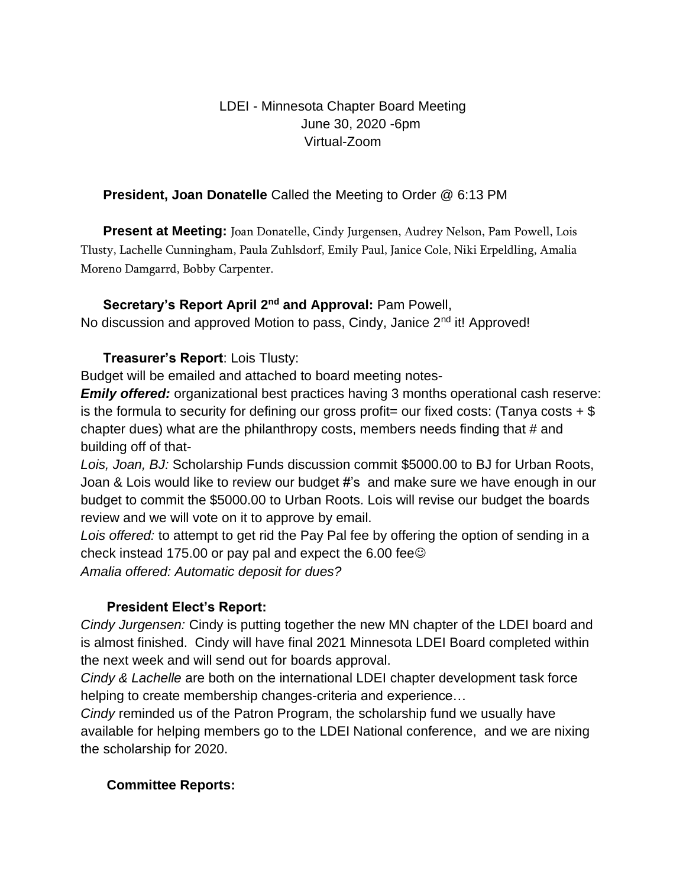## LDEI - Minnesota Chapter Board Meeting June 30, 2020 -6pm Virtual-Zoom

### **President, Joan Donatelle** Called the Meeting to Order @ 6:13 PM

**Present at Meeting:** Joan Donatelle, Cindy Jurgensen, Audrey Nelson, Pam Powell, Lois Tlusty, Lachelle Cunningham, Paula Zuhlsdorf, Emily Paul, Janice Cole, Niki Erpeldling, Amalia Moreno Damgarrd, Bobby Carpenter.

### **Secretary's Report April 2nd and Approval:** Pam Powell,

No discussion and approved Motion to pass, Cindy, Janice 2<sup>nd</sup> it! Approved!

### **Treasurer's Report**: Lois Tlusty:

Budget will be emailed and attached to board meeting notes-

*Emily offered:* organizational best practices having 3 months operational cash reserve: is the formula to security for defining our gross profit = our fixed costs: (Tanya costs  $+$  \$ chapter dues) what are the philanthropy costs, members needs finding that # and building off of that-

*Lois, Joan, BJ:* Scholarship Funds discussion commit \$5000.00 to BJ for Urban Roots, Joan & Lois would like to review our budget #'s and make sure we have enough in our budget to commit the \$5000.00 to Urban Roots. Lois will revise our budget the boards review and we will vote on it to approve by email.

*Lois offered:* to attempt to get rid the Pay Pal fee by offering the option of sending in a check instead 175.00 or pay pal and expect the 6.00 fee $\odot$ *Amalia offered: Automatic deposit for dues?*

# **President Elect's Report:**

*Cindy Jurgensen:* Cindy is putting together the new MN chapter of the LDEI board and is almost finished. Cindy will have final 2021 Minnesota LDEI Board completed within the next week and will send out for boards approval.

*Cindy & Lachelle* are both on the international LDEI chapter development task force helping to create membership changes-criteria and experience…

*Cindy* reminded us of the Patron Program, the scholarship fund we usually have available for helping members go to the LDEI National conference, and we are nixing the scholarship for 2020.

### **Committee Reports:**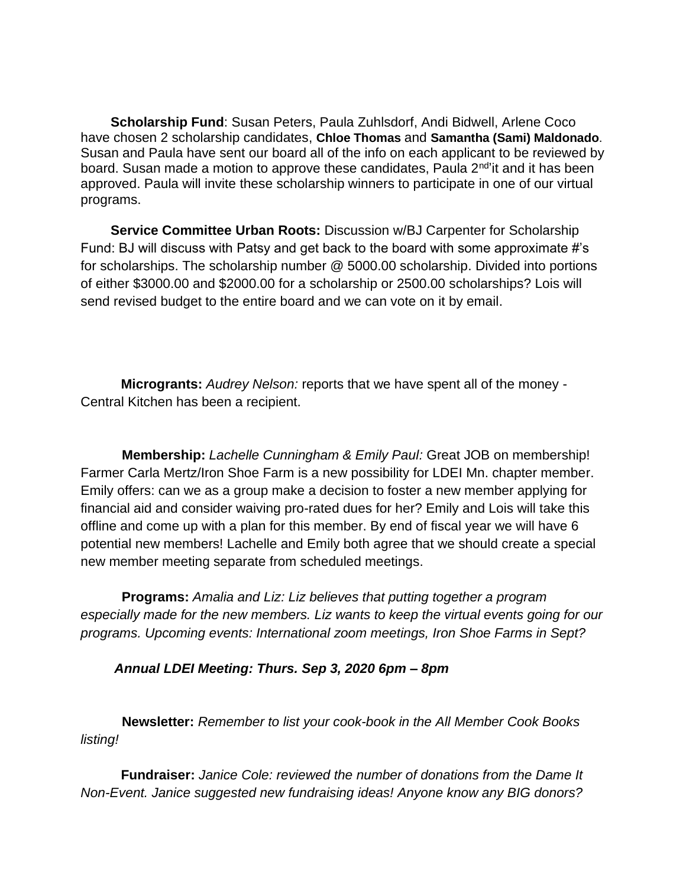**Scholarship Fund**: Susan Peters, Paula Zuhlsdorf, Andi Bidwell, Arlene Coco have chosen 2 scholarship candidates, **Chloe Thomas** and **Samantha (Sami) Maldonado**. Susan and Paula have sent our board all of the info on each applicant to be reviewed by board. Susan made a motion to approve these candidates, Paula 2<sup>nd</sup>'it and it has been approved. Paula will invite these scholarship winners to participate in one of our virtual programs.

 **Service Committee Urban Roots:** Discussion w/BJ Carpenter for Scholarship Fund: BJ will discuss with Patsy and get back to the board with some approximate #'s for scholarships. The scholarship number @ 5000.00 scholarship. Divided into portions of either \$3000.00 and \$2000.00 for a scholarship or 2500.00 scholarships? Lois will send revised budget to the entire board and we can vote on it by email.

**Microgrants:** *Audrey Nelson:* reports that we have spent all of the money - Central Kitchen has been a recipient.

 **Membership:** *Lachelle Cunningham & Emily Paul:* Great JOB on membership! Farmer Carla Mertz/Iron Shoe Farm is a new possibility for LDEI Mn. chapter member. Emily offers: can we as a group make a decision to foster a new member applying for financial aid and consider waiving pro-rated dues for her? Emily and Lois will take this offline and come up with a plan for this member. By end of fiscal year we will have 6 potential new members! Lachelle and Emily both agree that we should create a special new member meeting separate from scheduled meetings.

 **Programs:** *Amalia and Liz: Liz believes that putting together a program especially made for the new members. Liz wants to keep the virtual events going for our programs. Upcoming events: International zoom meetings, Iron Shoe Farms in Sept?*

#### *Annual LDEI Meeting: Thurs. Sep 3, 2020 6pm – 8pm*

 **Newsletter:** *Remember to list your cook-book in the All Member Cook Books listing!*

**Fundraiser:** *Janice Cole: reviewed the number of donations from the Dame It Non-Event. Janice suggested new fundraising ideas! Anyone know any BIG donors?*